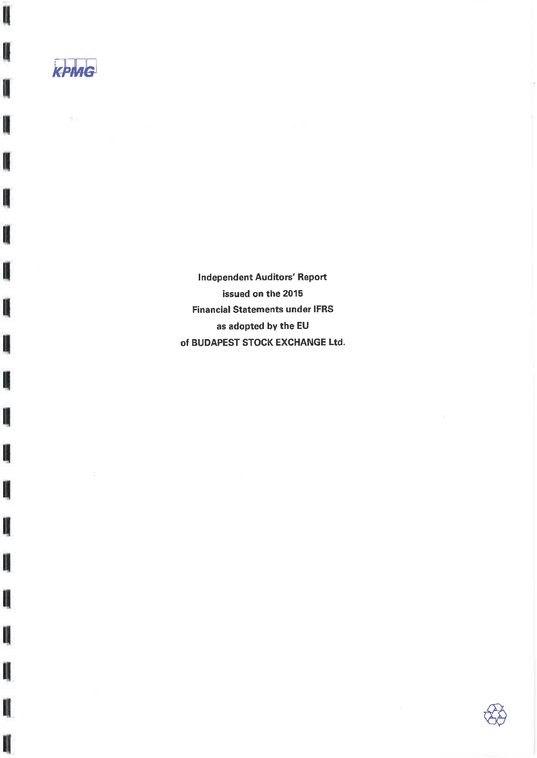

s.

Q

U

I

I

I

I

I

J

I

U

I

U

I

I

U

I

I

I

I

U

I

**Independent Auditors' Report** issued on the 2015 **Financial Statements under IFRS** as adopted by the EU of BUDAPEST STOCK EXCHANGE Ltd.

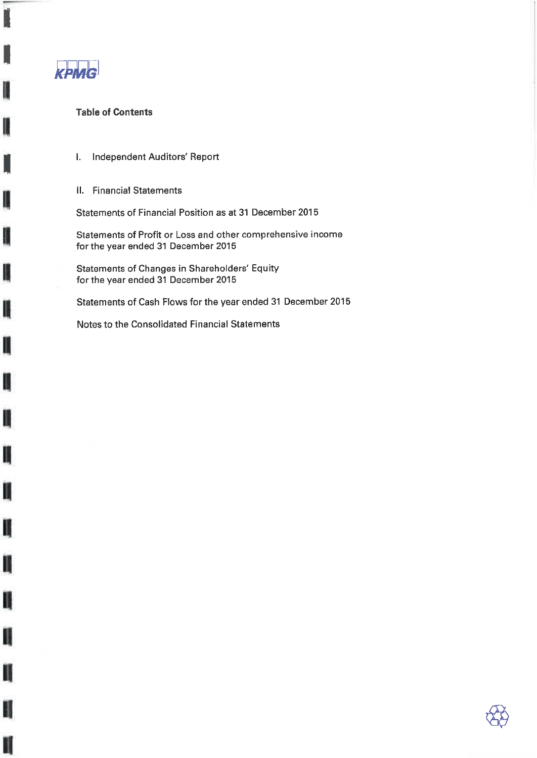

I

U

U

J

I

I

I

Ш

I

1

Ш

H

II

B

Ħ

Π

#### **Table of Contents**

- I. Independent Auditors' Report
- II. Financial Statements

Statements of Financial Position as at 31 December 2015

Statements of Profit or Loss and other comprehensive income for the year ended 31 December 2015

Statements of Changes in Shareholders' Equity for the year ended 31 December 2015

Statements of Cash Flows for the year ended 31 December 2015

Notes to the Consolidated Financial Statements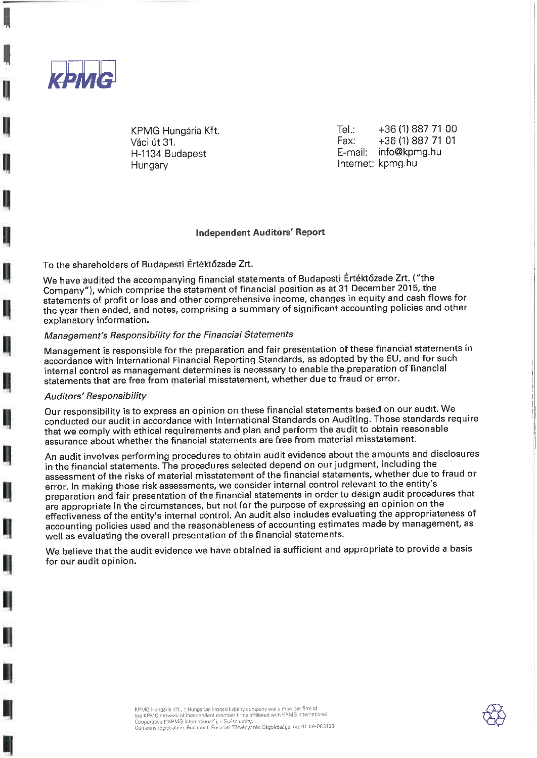

IJ

IJ

I

KPMG Hungária Kft. Váci út 31. H-1134 Budapest Hungary

+36 (1) 887 71 00 Tel. Fax: +36 (1) 887 71 01 E-mail: info@kpmg.hu Internet: kpmg.hu

#### **Independent Auditors' Report**

#### To the shareholders of Budapesti Értéktőzsde Zrt.

We have audited the accompanying financial statements of Budapesti Értéktőzsde Zrt. ("the Company"), which comprise the statement of financial position as at 31 December 2015, the statements of profit or loss and other comprehensive income, changes in equity and cash flows for the year then ended, and notes, comprising a summary of significant accounting policies and other explanatory information.

## Management's Responsibility for the Financial Statements

Management is responsible for the preparation and fair presentation of these financial statements in accordance with International Financial Reporting Standards, as adopted by the EU, and for such internal control as management determines is necessary to enable the preparation of financial statements that are free from material misstatement, whether due to fraud or error.

#### **Auditors' Responsibility**

Our responsibility is to express an opinion on these financial statements based on our audit. We conducted our audit in accordance with International Standards on Auditing. Those standards require that we comply with ethical requirements and plan and perform the audit to obtain reasonable assurance about whether the financial statements are free from material misstatement.

An audit involves performing procedures to obtain audit evidence about the amounts and disclosures in the financial statements. The procedures selected depend on our judgment, including the assessment of the risks of material misstatement of the financial statements, whether due to fraud or error. In making those risk assessments, we consider internal control relevant to the entity's preparation and fair presentation of the financial statements in order to design audit procedures that are appropriate in the circumstances, but not for the purpose of expressing an opinion on the effectiveness of the entity's internal control. An audit also includes evaluating the appropriateness of accounting policies used and the reasonableness of accounting estimates made by management, as well as evaluating the overall presentation of the financial statements.

We believe that the audit evidence we have obtained is sufficient and appropriate to provide a basis for our audit opinion.

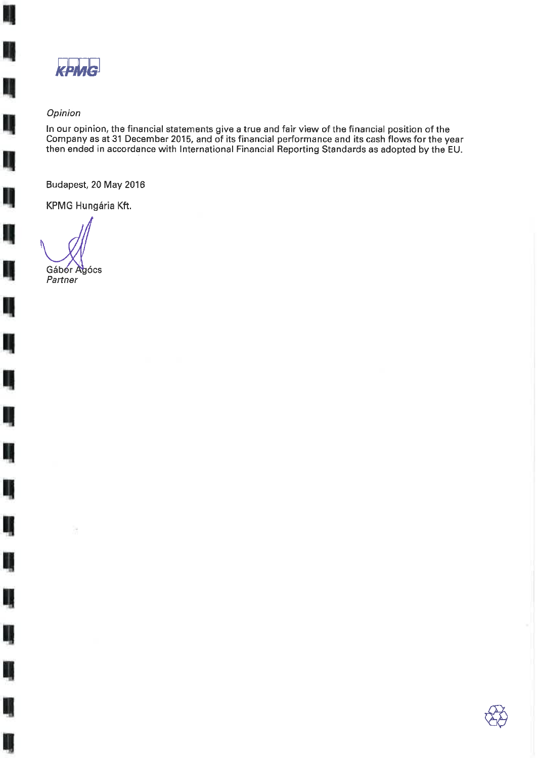

## Opinion

JI

W

U

ll

Ц

IJ

U

Ц

U

Ц

I

Ц

U

U

Щ

Щ

Ц

U

Ш

In our opinion, the financial statements give a true and fair view of the financial position of the Company as at 31 December 2015, and of its financial performance and its cash flows for the year then ended in accordance

Budapest, 20 May 2016

KPMG Hungária Kft.

Gábor Agócs Partner

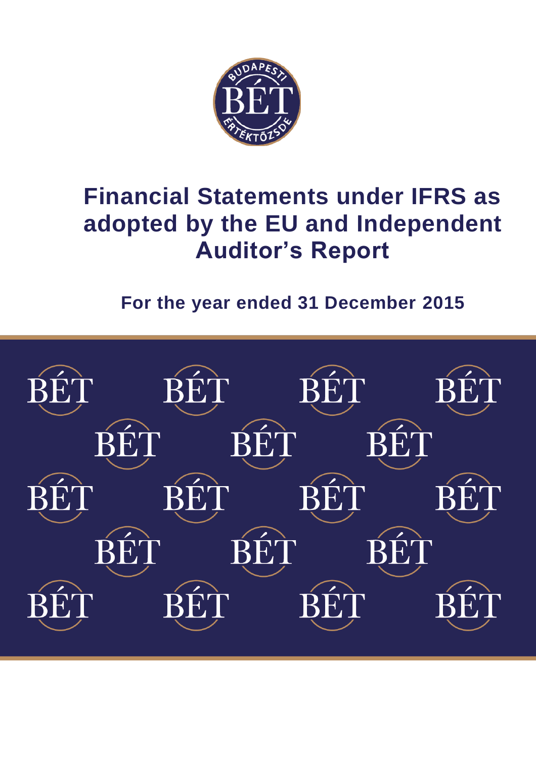

# **Financial Statements under IFRS as adopted by the EU and Independent Auditor's Report**

**For the year ended 31 December 2015**

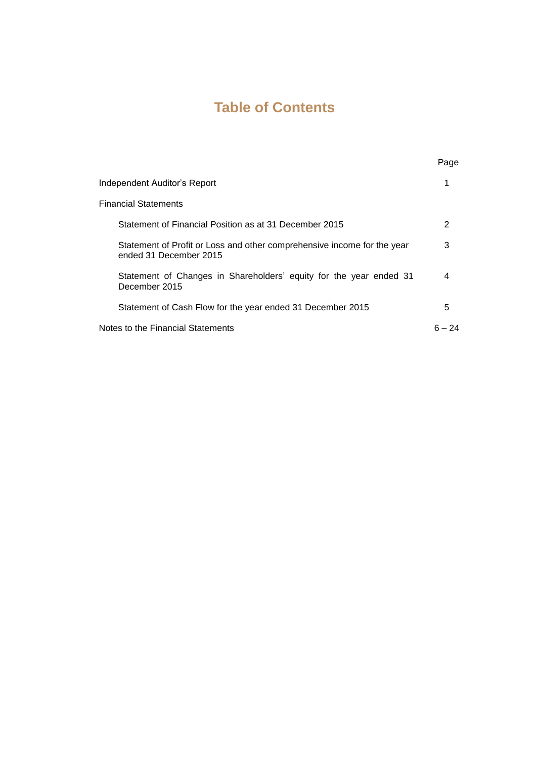## **Table of Contents**

|                                                                                                   | Page   |
|---------------------------------------------------------------------------------------------------|--------|
| Independent Auditor's Report                                                                      |        |
| <b>Financial Statements</b>                                                                       |        |
| Statement of Financial Position as at 31 December 2015                                            | 2      |
| Statement of Profit or Loss and other comprehensive income for the year<br>ended 31 December 2015 | 3      |
| Statement of Changes in Shareholders' equity for the year ended 31<br>December 2015               | 4      |
| Statement of Cash Flow for the year ended 31 December 2015                                        | 5      |
| Notes to the Financial Statements                                                                 | հ – 24 |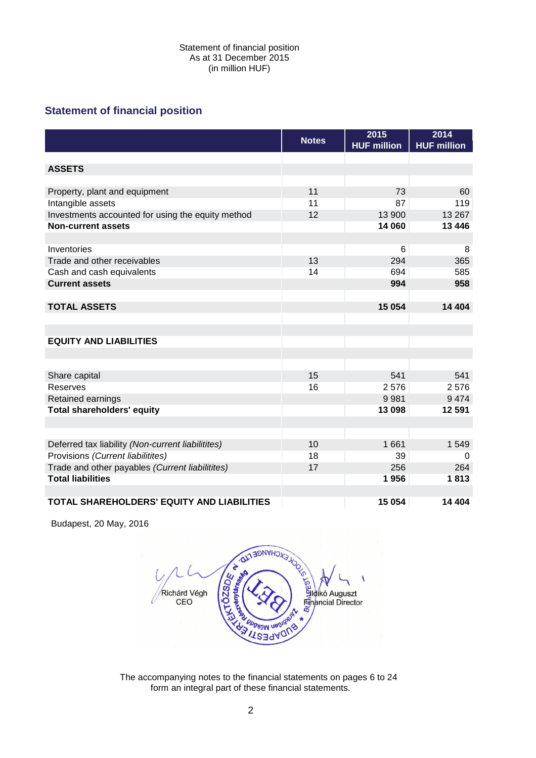#### Statement of financial position As at 31 December 2015 (in million HUF)

## **Statement of financial position**

|                                                   | <b>Notes</b> | 2015<br><b>HUF million</b> | 2014<br><b>HUF million</b> |
|---------------------------------------------------|--------------|----------------------------|----------------------------|
|                                                   |              |                            |                            |
| <b>ASSETS</b>                                     |              |                            |                            |
|                                                   |              |                            |                            |
| Property, plant and equipment                     | 11           | 73                         | 60                         |
| Intangible assets                                 | 11           | 87                         | 119                        |
| Investments accounted for using the equity method | 12           | 13 900                     | 13 267                     |
| <b>Non-current assets</b>                         |              | 14 060                     | 13 4 46                    |
|                                                   |              |                            |                            |
| Inventories                                       |              | 6                          | 8                          |
| Trade and other receivables                       | 13           | 294                        | 365                        |
| Cash and cash equivalents                         | 14           | 694                        | 585                        |
| <b>Current assets</b>                             |              | 994                        | 958                        |
|                                                   |              |                            |                            |
| <b>TOTAL ASSETS</b>                               |              | 15 0 54                    | 14 4 04                    |
|                                                   |              |                            |                            |
|                                                   |              |                            |                            |
| <b>EQUITY AND LIABILITIES</b>                     |              |                            |                            |
|                                                   |              |                            |                            |
|                                                   |              |                            |                            |
| Share capital                                     | 15           | 541                        | 541                        |
| <b>Reserves</b>                                   | 16           | 2576                       | 2576                       |
| Retained earnings                                 |              | 9981                       | 9474                       |
| <b>Total shareholders' equity</b>                 |              | 13 098                     | 12 5 91                    |
|                                                   |              |                            |                            |
|                                                   |              |                            |                            |
| Deferred tax liability (Non-current liabilitites) | 10           | 1661                       | 1 549                      |
| Provisions (Current liabilitites)                 | 18           | 39                         | 0                          |
| Trade and other payables (Current liabilitites)   | 17           | 256                        | 264                        |
| <b>Total liabilities</b>                          |              | 1956                       | 1813                       |
|                                                   |              |                            |                            |
| TOTAL SHAREHOLDERS' EQUITY AND LIABILITIES        |              | 15 0 54                    | 14 4 04                    |

Budapest, 20 May, 2016



The accompanying notes to the financial statements on pages 6 to 24 form an integral part of these financial statements.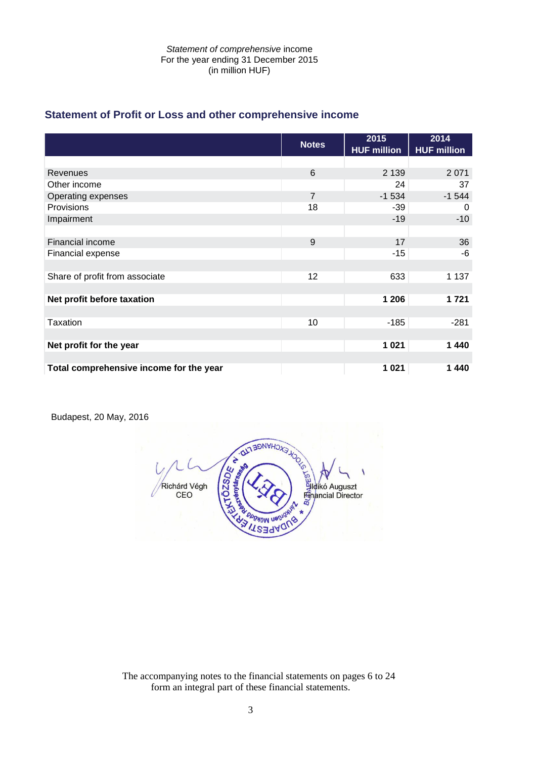## **Statement of Profit or Loss and other comprehensive income**

|                                         | <b>Notes</b>   | 2015<br><b>HUF million</b> | 2014<br><b>HUF million</b> |
|-----------------------------------------|----------------|----------------------------|----------------------------|
|                                         |                |                            |                            |
| Revenues                                | 6              | 2 1 3 9                    | 2 0 7 1                    |
| Other income                            |                | 24                         | 37                         |
| Operating expenses                      | $\overline{7}$ | $-1534$                    | $-1544$                    |
| Provisions                              | 18             | -39                        | 0                          |
| Impairment                              |                | $-19$                      | $-10$                      |
|                                         |                |                            |                            |
| Financial income                        | 9              | 17                         | 36                         |
| Financial expense                       |                | $-15$                      | -6                         |
|                                         |                |                            |                            |
| Share of profit from associate          | 12             | 633                        | 1 1 3 7                    |
|                                         |                |                            |                            |
| Net profit before taxation              |                | 1 206                      | 1721                       |
|                                         |                |                            |                            |
| Taxation                                | 10             | $-185$                     | $-281$                     |
|                                         |                |                            |                            |
| Net profit for the year                 |                | 1 0 2 1                    | 1 4 4 0                    |
|                                         |                |                            |                            |
| Total comprehensive income for the year |                | 1 0 2 1                    | 1440                       |

Budapest, 20 May, 2016

ON EXCHANGE I'ID  $\begin{array}{c}\n\sqrt{0250E} \\
\text{Néndings} \\
\alpha\n\end{array}$ **Ending Strategy**<br>**Elidikó Auguszt**<br> **Enancial Director** Richárd Végh CEO **PROVON UP AS IT SERADL** 

The accompanying notes to the financial statements on pages 6 to 24 form an integral part of these financial statements.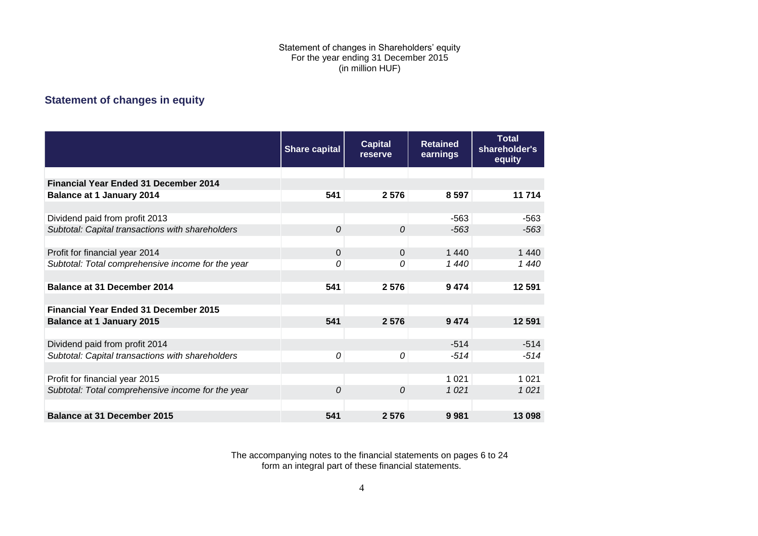Statement of changes in Shareholders' equity For the year ending 31 December 2015 (in million HUF)

## **Statement of changes in equity**

|                                                   | <b>Share capital</b> | <b>Capital</b><br>reserve | <b>Retained</b><br>earnings | <b>Total</b><br>shareholder's<br>equity |
|---------------------------------------------------|----------------------|---------------------------|-----------------------------|-----------------------------------------|
|                                                   |                      |                           |                             |                                         |
| <b>Financial Year Ended 31 December 2014</b>      |                      |                           |                             |                                         |
| <b>Balance at 1 January 2014</b>                  | 541                  | 2 5 7 6                   | 8 5 9 7                     | 11714                                   |
|                                                   |                      |                           |                             |                                         |
| Dividend paid from profit 2013                    |                      |                           | $-563$                      | $-563$                                  |
| Subtotal: Capital transactions with shareholders  | 0                    | 0                         | $-563$                      | $-563$                                  |
|                                                   |                      |                           |                             |                                         |
| Profit for financial year 2014                    | 0                    | $\Omega$                  | 1 4 4 0                     | 1 4 4 0                                 |
| Subtotal: Total comprehensive income for the year | 0                    | 0                         | 1 4 4 0                     | 1 4 4 0                                 |
|                                                   |                      |                           |                             |                                         |
| <b>Balance at 31 December 2014</b>                | 541                  | 2576                      | 9474                        | 12 5 91                                 |
|                                                   |                      |                           |                             |                                         |
| <b>Financial Year Ended 31 December 2015</b>      |                      |                           |                             |                                         |
| <b>Balance at 1 January 2015</b>                  | 541                  | 2 5 7 6                   | 9474                        | 12 591                                  |
|                                                   |                      |                           |                             |                                         |
| Dividend paid from profit 2014                    |                      |                           | $-514$                      | $-514$                                  |
| Subtotal: Capital transactions with shareholders  | 0                    | 0                         | $-514$                      | $-514$                                  |
|                                                   |                      |                           |                             |                                         |
| Profit for financial year 2015                    |                      |                           | 1 0 2 1                     | 1 0 2 1                                 |
| Subtotal: Total comprehensive income for the year | $\Omega$             | 0                         | 1021                        | 1021                                    |
|                                                   |                      |                           |                             |                                         |
| <b>Balance at 31 December 2015</b>                | 541                  | 2576                      | 9981                        | 13 098                                  |

The accompanying notes to the financial statements on pages 6 to 24 form an integral part of these financial statements.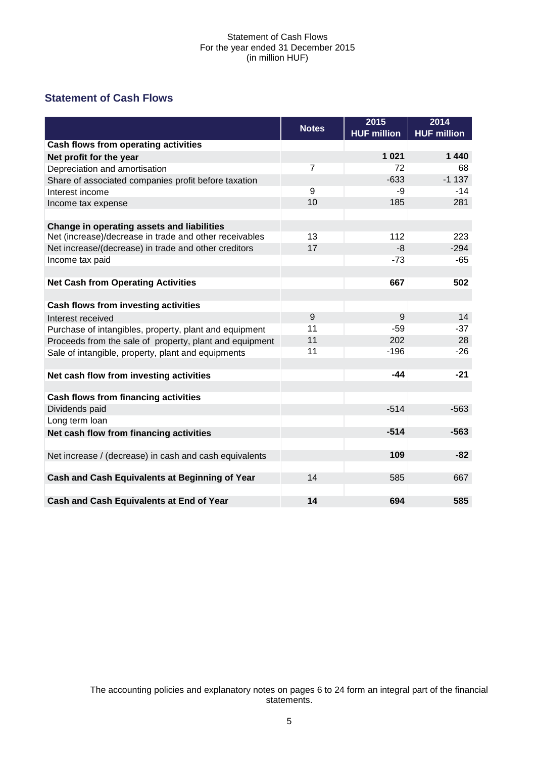#### Statement of Cash Flows For the year ended 31 December 2015 (in million HUF)

## **Statement of Cash Flows**

|                                                         |                | 2015               | 2014               |
|---------------------------------------------------------|----------------|--------------------|--------------------|
|                                                         | <b>Notes</b>   | <b>HUF million</b> | <b>HUF million</b> |
| Cash flows from operating activities                    |                |                    |                    |
| Net profit for the year                                 |                | 1 0 2 1            | 1440               |
| Depreciation and amortisation                           | $\overline{7}$ | 72                 | 68                 |
| Share of associated companies profit before taxation    |                | $-633$             | $-1137$            |
| Interest income                                         | 9              | -9                 | $-14$              |
| Income tax expense                                      | 10             | 185                | 281                |
|                                                         |                |                    |                    |
| Change in operating assets and liabilities              |                |                    |                    |
| Net (increase)/decrease in trade and other receivables  | 13             | 112                | 223                |
| Net increase/(decrease) in trade and other creditors    | 17             | $-8$               | $-294$             |
| Income tax paid                                         |                | $-73$              | $-65$              |
|                                                         |                |                    |                    |
| <b>Net Cash from Operating Activities</b>               |                | 667                | 502                |
|                                                         |                |                    |                    |
| Cash flows from investing activities                    |                |                    |                    |
| Interest received                                       | 9              | 9                  | 14                 |
| Purchase of intangibles, property, plant and equipment  | 11             | $-59$              | $-37$              |
| Proceeds from the sale of property, plant and equipment | 11             | 202                | 28                 |
| Sale of intangible, property, plant and equipments      | 11             | $-196$             | $-26$              |
|                                                         |                |                    |                    |
| Net cash flow from investing activities                 |                | $-44$              | $-21$              |
|                                                         |                |                    |                    |
| <b>Cash flows from financing activities</b>             |                |                    |                    |
| Dividends paid                                          |                | $-514$             | $-563$             |
| Long term loan                                          |                |                    |                    |
| Net cash flow from financing activities                 |                | $-514$             | $-563$             |
|                                                         |                | 109                | $-82$              |
| Net increase / (decrease) in cash and cash equivalents  |                |                    |                    |
| Cash and Cash Equivalents at Beginning of Year          | 14             | 585                | 667                |
|                                                         |                |                    |                    |
| Cash and Cash Equivalents at End of Year                | 14             | 694                | 585                |

The accounting policies and explanatory notes on pages 6 to 24 form an integral part of the financial statements.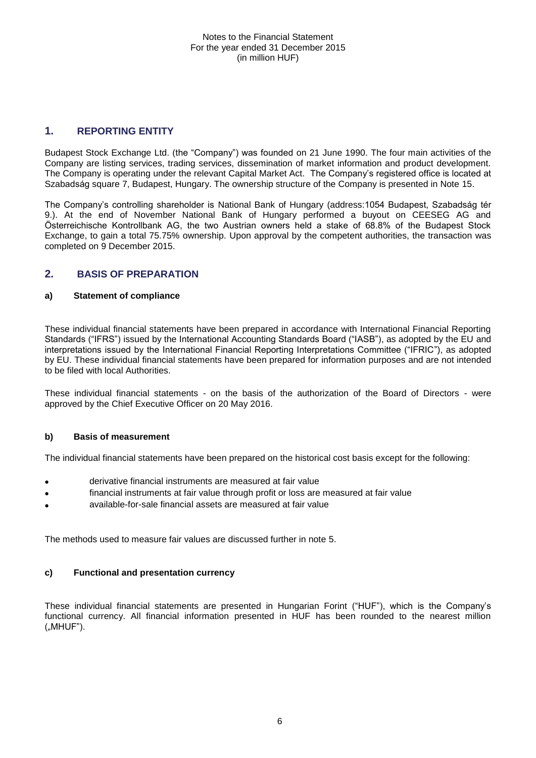## **1. REPORTING ENTITY**

Budapest Stock Exchange Ltd. (the "Company") was founded on 21 June 1990. The four main activities of the Company are listing services, trading services, dissemination of market information and product development. The Company is operating under the relevant Capital Market Act. The Company's registered office is located at Szabadság square 7, Budapest, Hungary. The ownership structure of the Company is presented in Note 15.

The Company's controlling shareholder is National Bank of Hungary (address:1054 Budapest, Szabadság tér 9.). At the end of November National Bank of Hungary performed a buyout on CEESEG AG and Österreichische Kontrollbank AG, the two Austrian owners held a stake of 68.8% of the Budapest Stock Exchange, to gain a total 75.75% ownership. Upon approval by the competent authorities, the transaction was completed on 9 December 2015.

## **2. BASIS OF PREPARATION**

#### **a) Statement of compliance**

These individual financial statements have been prepared in accordance with International Financial Reporting Standards ("IFRS") issued by the International Accounting Standards Board ("IASB"), as adopted by the EU and interpretations issued by the International Financial Reporting Interpretations Committee ("IFRIC"), as adopted by EU. These individual financial statements have been prepared for information purposes and are not intended to be filed with local Authorities.

These individual financial statements - on the basis of the authorization of the Board of Directors - were approved by the Chief Executive Officer on 20 May 2016.

#### **b) Basis of measurement**

The individual financial statements have been prepared on the historical cost basis except for the following:

- derivative financial instruments are measured at fair value
- financial instruments at fair value through profit or loss are measured at fair value
- available-for-sale financial assets are measured at fair value

The methods used to measure fair values are discussed further in note 5.

#### **c) Functional and presentation currency**

These individual financial statements are presented in Hungarian Forint ("HUF"), which is the Company's functional currency. All financial information presented in HUF has been rounded to the nearest million ("MHUF").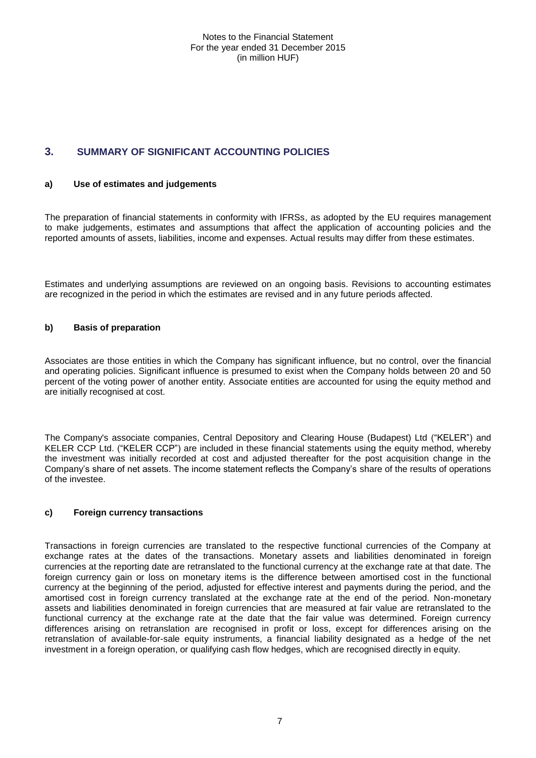## **3. SUMMARY OF SIGNIFICANT ACCOUNTING POLICIES**

#### **a) Use of estimates and judgements**

The preparation of financial statements in conformity with IFRSs, as adopted by the EU requires management to make judgements, estimates and assumptions that affect the application of accounting policies and the reported amounts of assets, liabilities, income and expenses. Actual results may differ from these estimates.

Estimates and underlying assumptions are reviewed on an ongoing basis. Revisions to accounting estimates are recognized in the period in which the estimates are revised and in any future periods affected.

#### **b) Basis of preparation**

Associates are those entities in which the Company has significant influence, but no control, over the financial and operating policies. Significant influence is presumed to exist when the Company holds between 20 and 50 percent of the voting power of another entity. Associate entities are accounted for using the equity method and are initially recognised at cost.

The Company's associate companies, Central Depository and Clearing House (Budapest) Ltd ("KELER") and KELER CCP Ltd. ("KELER CCP") are included in these financial statements using the equity method, whereby the investment was initially recorded at cost and adjusted thereafter for the post acquisition change in the Company's share of net assets. The income statement reflects the Company's share of the results of operations of the investee.

#### **c) Foreign currency transactions**

Transactions in foreign currencies are translated to the respective functional currencies of the Company at exchange rates at the dates of the transactions. Monetary assets and liabilities denominated in foreign currencies at the reporting date are retranslated to the functional currency at the exchange rate at that date. The foreign currency gain or loss on monetary items is the difference between amortised cost in the functional currency at the beginning of the period, adjusted for effective interest and payments during the period, and the amortised cost in foreign currency translated at the exchange rate at the end of the period. Non-monetary assets and liabilities denominated in foreign currencies that are measured at fair value are retranslated to the functional currency at the exchange rate at the date that the fair value was determined. Foreign currency differences arising on retranslation are recognised in profit or loss, except for differences arising on the retranslation of available-for-sale equity instruments, a financial liability designated as a hedge of the net investment in a foreign operation, or qualifying cash flow hedges, which are recognised directly in equity.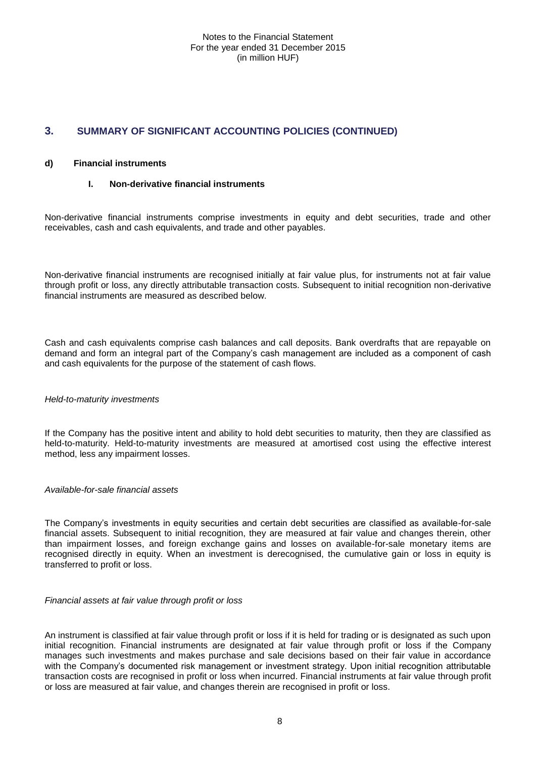#### **d) Financial instruments**

#### **I. Non-derivative financial instruments**

Non-derivative financial instruments comprise investments in equity and debt securities, trade and other receivables, cash and cash equivalents, and trade and other payables.

Non-derivative financial instruments are recognised initially at fair value plus, for instruments not at fair value through profit or loss, any directly attributable transaction costs. Subsequent to initial recognition non-derivative financial instruments are measured as described below.

Cash and cash equivalents comprise cash balances and call deposits. Bank overdrafts that are repayable on demand and form an integral part of the Company's cash management are included as a component of cash and cash equivalents for the purpose of the statement of cash flows.

#### *Held-to-maturity investments*

If the Company has the positive intent and ability to hold debt securities to maturity, then they are classified as held-to-maturity. Held-to-maturity investments are measured at amortised cost using the effective interest method, less any impairment losses.

#### *Available-for-sale financial assets*

The Company's investments in equity securities and certain debt securities are classified as available-for-sale financial assets. Subsequent to initial recognition, they are measured at fair value and changes therein, other than impairment losses, and foreign exchange gains and losses on available-for-sale monetary items are recognised directly in equity. When an investment is derecognised, the cumulative gain or loss in equity is transferred to profit or loss.

#### *Financial assets at fair value through profit or loss*

An instrument is classified at fair value through profit or loss if it is held for trading or is designated as such upon initial recognition. Financial instruments are designated at fair value through profit or loss if the Company manages such investments and makes purchase and sale decisions based on their fair value in accordance with the Company's documented risk management or investment strategy. Upon initial recognition attributable transaction costs are recognised in profit or loss when incurred. Financial instruments at fair value through profit or loss are measured at fair value, and changes therein are recognised in profit or loss.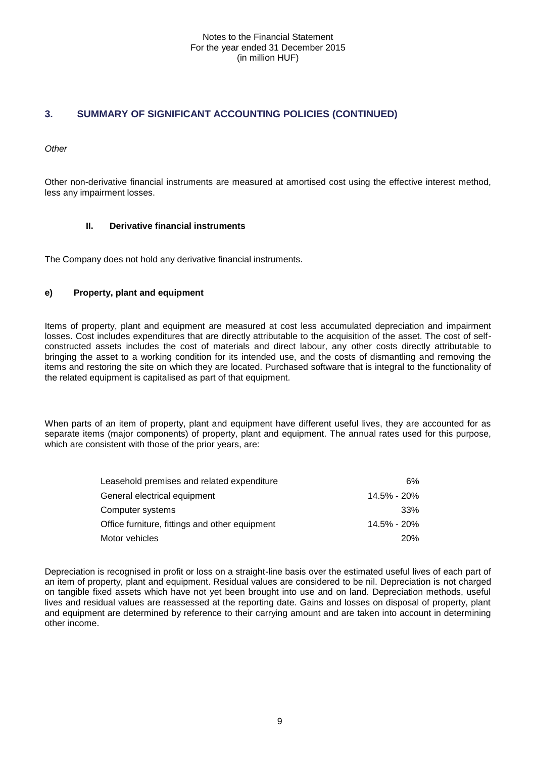*Other*

Other non-derivative financial instruments are measured at amortised cost using the effective interest method, less any impairment losses.

#### **II. Derivative financial instruments**

The Company does not hold any derivative financial instruments.

#### **e) Property, plant and equipment**

Items of property, plant and equipment are measured at cost less accumulated depreciation and impairment losses. Cost includes expenditures that are directly attributable to the acquisition of the asset. The cost of selfconstructed assets includes the cost of materials and direct labour, any other costs directly attributable to bringing the asset to a working condition for its intended use, and the costs of dismantling and removing the items and restoring the site on which they are located. Purchased software that is integral to the functionality of the related equipment is capitalised as part of that equipment.

When parts of an item of property, plant and equipment have different useful lives, they are accounted for as separate items (major components) of property, plant and equipment. The annual rates used for this purpose, which are consistent with those of the prior years, are:

| Leasehold premises and related expenditure     | 6%          |
|------------------------------------------------|-------------|
| General electrical equipment                   | 14.5% - 20% |
| Computer systems                               | 33%         |
| Office furniture, fittings and other equipment | 14.5% - 20% |
| Motor vehicles                                 | 20%         |

Depreciation is recognised in profit or loss on a straight-line basis over the estimated useful lives of each part of an item of property, plant and equipment. Residual values are considered to be nil. Depreciation is not charged on tangible fixed assets which have not yet been brought into use and on land. Depreciation methods, useful lives and residual values are reassessed at the reporting date. Gains and losses on disposal of property, plant and equipment are determined by reference to their carrying amount and are taken into account in determining other income.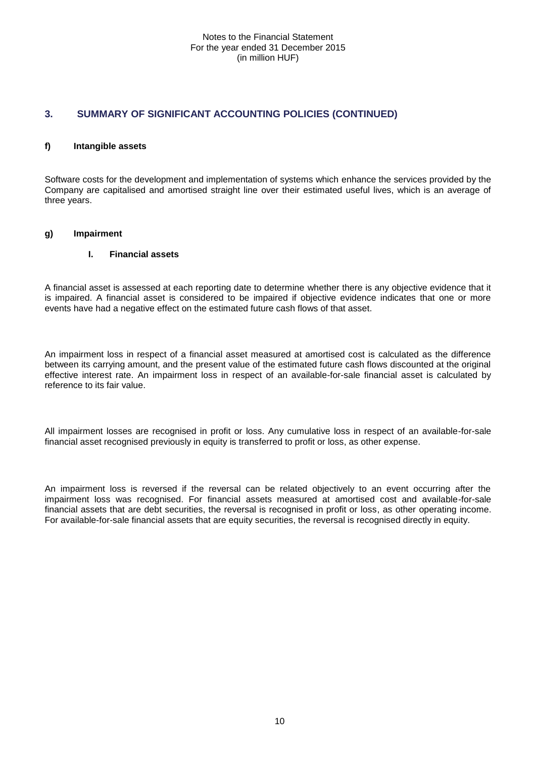#### **f) Intangible assets**

Software costs for the development and implementation of systems which enhance the services provided by the Company are capitalised and amortised straight line over their estimated useful lives, which is an average of three years.

#### **g) Impairment**

#### **I. Financial assets**

A financial asset is assessed at each reporting date to determine whether there is any objective evidence that it is impaired. A financial asset is considered to be impaired if objective evidence indicates that one or more events have had a negative effect on the estimated future cash flows of that asset.

An impairment loss in respect of a financial asset measured at amortised cost is calculated as the difference between its carrying amount, and the present value of the estimated future cash flows discounted at the original effective interest rate. An impairment loss in respect of an available-for-sale financial asset is calculated by reference to its fair value.

All impairment losses are recognised in profit or loss. Any cumulative loss in respect of an available-for-sale financial asset recognised previously in equity is transferred to profit or loss, as other expense.

An impairment loss is reversed if the reversal can be related objectively to an event occurring after the impairment loss was recognised. For financial assets measured at amortised cost and available-for-sale financial assets that are debt securities, the reversal is recognised in profit or loss, as other operating income. For available-for-sale financial assets that are equity securities, the reversal is recognised directly in equity.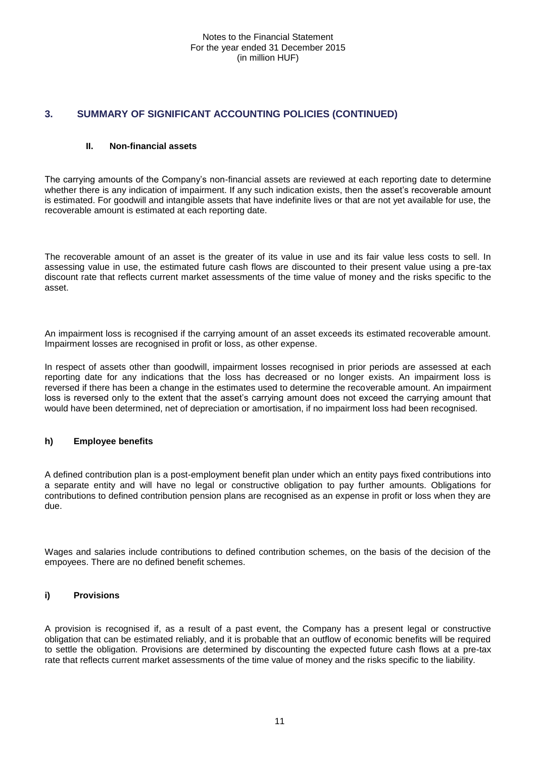#### **II. Non-financial assets**

The carrying amounts of the Company's non-financial assets are reviewed at each reporting date to determine whether there is any indication of impairment. If any such indication exists, then the asset's recoverable amount is estimated. For goodwill and intangible assets that have indefinite lives or that are not yet available for use, the recoverable amount is estimated at each reporting date.

The recoverable amount of an asset is the greater of its value in use and its fair value less costs to sell. In assessing value in use, the estimated future cash flows are discounted to their present value using a pre-tax discount rate that reflects current market assessments of the time value of money and the risks specific to the asset.

An impairment loss is recognised if the carrying amount of an asset exceeds its estimated recoverable amount. Impairment losses are recognised in profit or loss, as other expense.

In respect of assets other than goodwill, impairment losses recognised in prior periods are assessed at each reporting date for any indications that the loss has decreased or no longer exists. An impairment loss is reversed if there has been a change in the estimates used to determine the recoverable amount. An impairment loss is reversed only to the extent that the asset's carrying amount does not exceed the carrying amount that would have been determined, net of depreciation or amortisation, if no impairment loss had been recognised.

#### **h) Employee benefits**

A defined contribution plan is a post-employment benefit plan under which an entity pays fixed contributions into a separate entity and will have no legal or constructive obligation to pay further amounts. Obligations for contributions to defined contribution pension plans are recognised as an expense in profit or loss when they are due.

Wages and salaries include contributions to defined contribution schemes, on the basis of the decision of the empoyees. There are no defined benefit schemes.

#### **i) Provisions**

A provision is recognised if, as a result of a past event, the Company has a present legal or constructive obligation that can be estimated reliably, and it is probable that an outflow of economic benefits will be required to settle the obligation. Provisions are determined by discounting the expected future cash flows at a pre-tax rate that reflects current market assessments of the time value of money and the risks specific to the liability.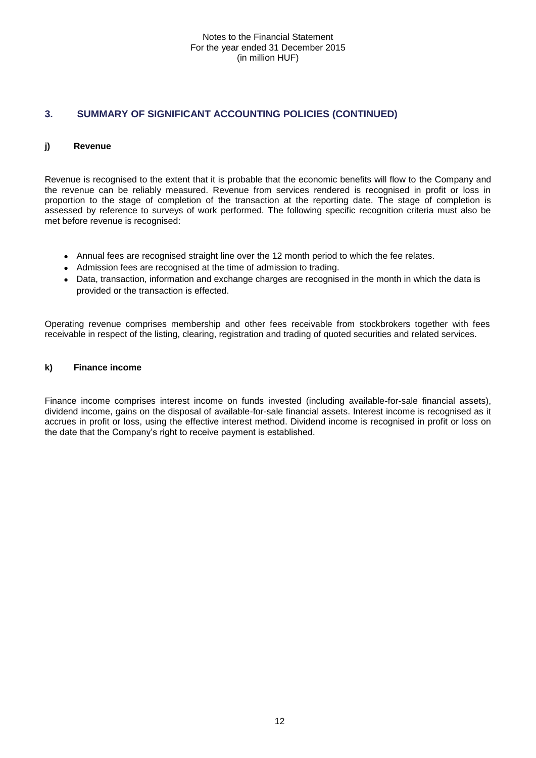#### **j) Revenue**

Revenue is recognised to the extent that it is probable that the economic benefits will flow to the Company and the revenue can be reliably measured. Revenue from services rendered is recognised in profit or loss in proportion to the stage of completion of the transaction at the reporting date. The stage of completion is assessed by reference to surveys of work performed. The following specific recognition criteria must also be met before revenue is recognised:

- Annual fees are recognised straight line over the 12 month period to which the fee relates.
- Admission fees are recognised at the time of admission to trading.
- Data, transaction, information and exchange charges are recognised in the month in which the data is provided or the transaction is effected.

Operating revenue comprises membership and other fees receivable from stockbrokers together with fees receivable in respect of the listing, clearing, registration and trading of quoted securities and related services.

#### **k) Finance income**

Finance income comprises interest income on funds invested (including available-for-sale financial assets), dividend income, gains on the disposal of available-for-sale financial assets. Interest income is recognised as it accrues in profit or loss, using the effective interest method. Dividend income is recognised in profit or loss on the date that the Company's right to receive payment is established.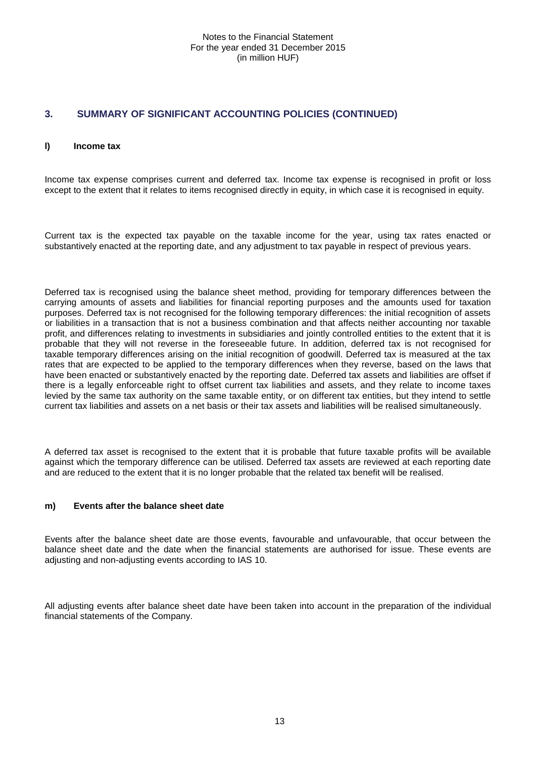#### **l) Income tax**

Income tax expense comprises current and deferred tax. Income tax expense is recognised in profit or loss except to the extent that it relates to items recognised directly in equity, in which case it is recognised in equity.

Current tax is the expected tax payable on the taxable income for the year, using tax rates enacted or substantively enacted at the reporting date, and any adjustment to tax payable in respect of previous years.

Deferred tax is recognised using the balance sheet method, providing for temporary differences between the carrying amounts of assets and liabilities for financial reporting purposes and the amounts used for taxation purposes. Deferred tax is not recognised for the following temporary differences: the initial recognition of assets or liabilities in a transaction that is not a business combination and that affects neither accounting nor taxable profit, and differences relating to investments in subsidiaries and jointly controlled entities to the extent that it is probable that they will not reverse in the foreseeable future. In addition, deferred tax is not recognised for taxable temporary differences arising on the initial recognition of goodwill. Deferred tax is measured at the tax rates that are expected to be applied to the temporary differences when they reverse, based on the laws that have been enacted or substantively enacted by the reporting date. Deferred tax assets and liabilities are offset if there is a legally enforceable right to offset current tax liabilities and assets, and they relate to income taxes levied by the same tax authority on the same taxable entity, or on different tax entities, but they intend to settle current tax liabilities and assets on a net basis or their tax assets and liabilities will be realised simultaneously.

A deferred tax asset is recognised to the extent that it is probable that future taxable profits will be available against which the temporary difference can be utilised. Deferred tax assets are reviewed at each reporting date and are reduced to the extent that it is no longer probable that the related tax benefit will be realised.

#### **m) Events after the balance sheet date**

Events after the balance sheet date are those events, favourable and unfavourable, that occur between the balance sheet date and the date when the financial statements are authorised for issue. These events are adjusting and non-adjusting events according to IAS 10.

All adjusting events after balance sheet date have been taken into account in the preparation of the individual financial statements of the Company.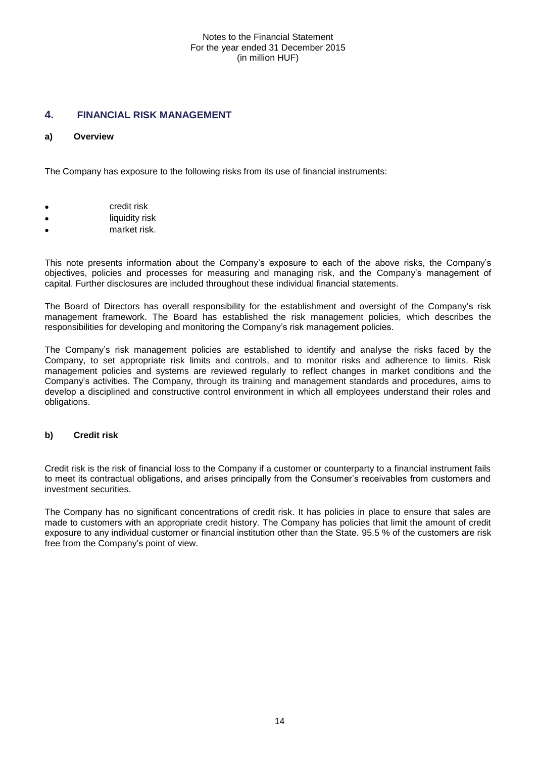#### Notes to the Financial Statement For the year ended 31 December 2015 (in million HUF)

## **4. FINANCIAL RISK MANAGEMENT**

#### **a) Overview**

The Company has exposure to the following risks from its use of financial instruments:

- credit risk
- **•** liquidity risk
- market risk.

This note presents information about the Company's exposure to each of the above risks, the Company's objectives, policies and processes for measuring and managing risk, and the Company's management of capital. Further disclosures are included throughout these individual financial statements.

The Board of Directors has overall responsibility for the establishment and oversight of the Company's risk management framework. The Board has established the risk management policies, which describes the responsibilities for developing and monitoring the Company's risk management policies.

The Company's risk management policies are established to identify and analyse the risks faced by the Company, to set appropriate risk limits and controls, and to monitor risks and adherence to limits. Risk management policies and systems are reviewed regularly to reflect changes in market conditions and the Company's activities. The Company, through its training and management standards and procedures, aims to develop a disciplined and constructive control environment in which all employees understand their roles and obligations.

#### **b) Credit risk**

Credit risk is the risk of financial loss to the Company if a customer or counterparty to a financial instrument fails to meet its contractual obligations, and arises principally from the Consumer's receivables from customers and investment securities.

The Company has no significant concentrations of credit risk. It has policies in place to ensure that sales are made to customers with an appropriate credit history. The Company has policies that limit the amount of credit exposure to any individual customer or financial institution other than the State. 95.5 % of the customers are risk free from the Company's point of view.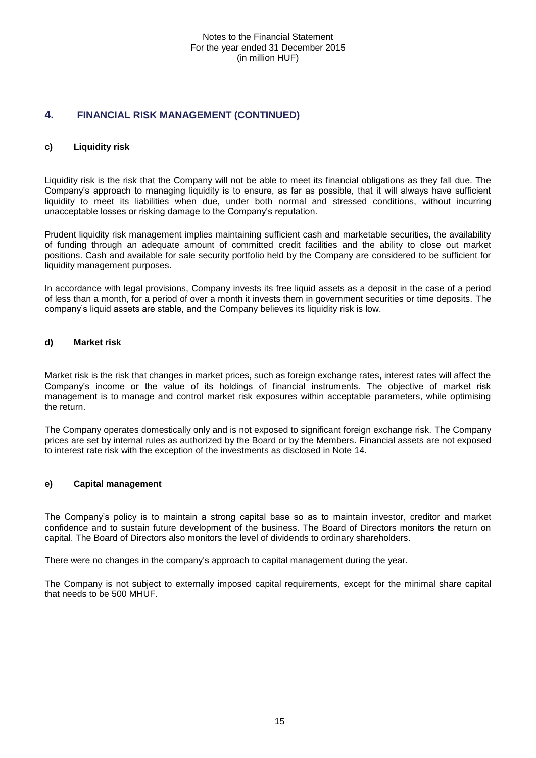## **4. FINANCIAL RISK MANAGEMENT (CONTINUED)**

#### **c) Liquidity risk**

Liquidity risk is the risk that the Company will not be able to meet its financial obligations as they fall due. The Company's approach to managing liquidity is to ensure, as far as possible, that it will always have sufficient liquidity to meet its liabilities when due, under both normal and stressed conditions, without incurring unacceptable losses or risking damage to the Company's reputation.

Prudent liquidity risk management implies maintaining sufficient cash and marketable securities, the availability of funding through an adequate amount of committed credit facilities and the ability to close out market positions. Cash and available for sale security portfolio held by the Company are considered to be sufficient for liquidity management purposes.

In accordance with legal provisions, Company invests its free liquid assets as a deposit in the case of a period of less than a month, for a period of over a month it invests them in government securities or time deposits. The company's liquid assets are stable, and the Company believes its liquidity risk is low.

#### **d) Market risk**

Market risk is the risk that changes in market prices, such as foreign exchange rates, interest rates will affect the Company's income or the value of its holdings of financial instruments. The objective of market risk management is to manage and control market risk exposures within acceptable parameters, while optimising the return.

The Company operates domestically only and is not exposed to significant foreign exchange risk. The Company prices are set by internal rules as authorized by the Board or by the Members. Financial assets are not exposed to interest rate risk with the exception of the investments as disclosed in Note 14.

#### **e) Capital management**

The Company's policy is to maintain a strong capital base so as to maintain investor, creditor and market confidence and to sustain future development of the business. The Board of Directors monitors the return on capital. The Board of Directors also monitors the level of dividends to ordinary shareholders.

There were no changes in the company's approach to capital management during the year.

The Company is not subject to externally imposed capital requirements, except for the minimal share capital that needs to be 500 MHUF.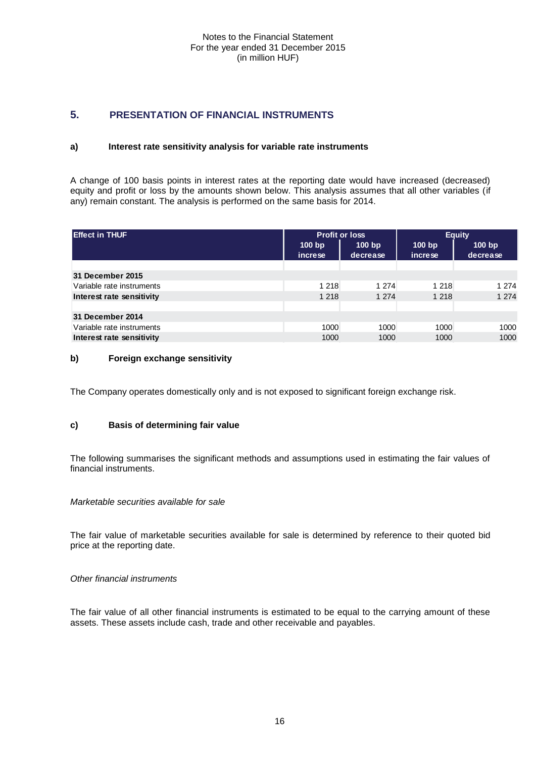## **5. PRESENTATION OF FINANCIAL INSTRUMENTS**

#### **a) Interest rate sensitivity analysis for variable rate instruments**

A change of 100 basis points in interest rates at the reporting date would have increased (decreased) equity and profit or loss by the amounts shown below. This analysis assumes that all other variables (if any) remain constant. The analysis is performed on the same basis for 2014.

| <b>Effect in THUF</b>     | <b>Profit or loss</b>        |                      |                     | <b>Equity</b>        |
|---------------------------|------------------------------|----------------------|---------------------|----------------------|
|                           | 100 <sub>bp</sub><br>increse | $100$ bp<br>decrease | $100$ bp<br>increse | $100$ bp<br>decrease |
| 31 December 2015          |                              |                      |                     |                      |
| Variable rate instruments | 1 2 1 8                      | 1 2 7 4              | 1 2 1 8             | 1 274                |
| Interest rate sensitivity | 1 2 1 8                      | 1 2 7 4              | 1 2 1 8             | 1 2 7 4              |
| 31 December 2014          |                              |                      |                     |                      |
| Variable rate instruments | 1000                         | 1000                 | 1000                | 1000                 |
| Interest rate sensitivity | 1000                         | 1000                 | 1000                | 1000                 |

#### **b) Foreign exchange sensitivity**

The Company operates domestically only and is not exposed to significant foreign exchange risk.

#### **c) Basis of determining fair value**

The following summarises the significant methods and assumptions used in estimating the fair values of financial instruments.

#### *Marketable securities available for sale*

The fair value of marketable securities available for sale is determined by reference to their quoted bid price at the reporting date.

#### *Other financial instruments*

The fair value of all other financial instruments is estimated to be equal to the carrying amount of these assets. These assets include cash, trade and other receivable and payables.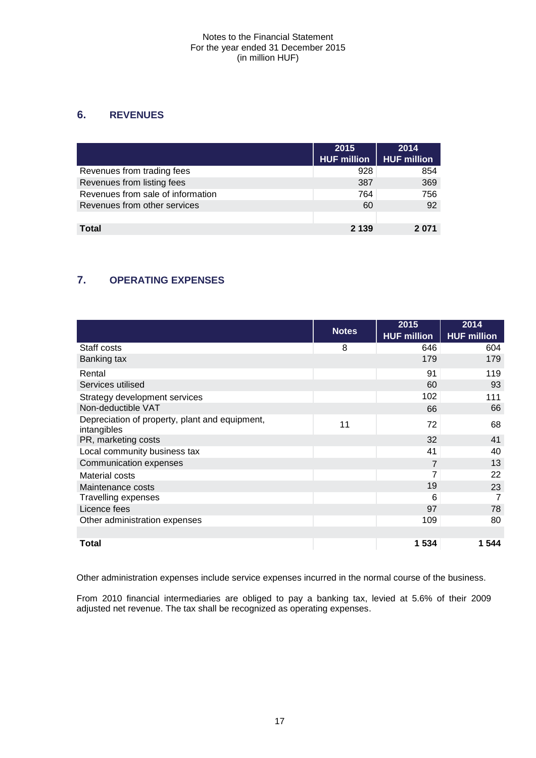#### Notes to the Financial Statement For the year ended 31 December 2015 (in million HUF)

## **6. REVENUES**

|                                   | 2015<br><b>HUF million</b> | 2014<br><b>HUF million</b> |
|-----------------------------------|----------------------------|----------------------------|
| Revenues from trading fees        | 928                        | 854                        |
| Revenues from listing fees        | 387                        | 369                        |
| Revenues from sale of information | 764                        | 756                        |
| Revenues from other services      | 60                         | 92                         |
|                                   |                            |                            |
| Total                             | 2 1 3 9                    | 2 071                      |

## **7. OPERATING EXPENSES**

|                                                               | <b>Notes</b> | 2015<br><b>HUF million</b> | 2014<br><b>HUF million</b> |
|---------------------------------------------------------------|--------------|----------------------------|----------------------------|
| Staff costs                                                   | 8            | 646                        | 604                        |
| Banking tax                                                   |              | 179                        | 179                        |
| Rental                                                        |              | 91                         | 119                        |
| Services utilised                                             |              | 60                         | 93                         |
| Strategy development services                                 |              | 102                        | 111                        |
| Non-deductible VAT                                            |              | 66                         | 66                         |
| Depreciation of property, plant and equipment,<br>intangibles | 11           | 72                         | 68                         |
| PR, marketing costs                                           |              | 32                         | 41                         |
| Local community business tax                                  |              | 41                         | 40                         |
| Communication expenses                                        |              | $\overline{7}$             | 13                         |
| <b>Material costs</b>                                         |              | 7                          | 22                         |
| Maintenance costs                                             |              | 19                         | 23                         |
| Travelling expenses                                           |              | 6                          | 7                          |
| Licence fees                                                  |              | 97                         | 78                         |
| Other administration expenses                                 |              | 109                        | 80                         |
|                                                               |              |                            |                            |
| Total                                                         |              | 1 534                      | 1 544                      |

Other administration expenses include service expenses incurred in the normal course of the business.

From 2010 financial intermediaries are obliged to pay a banking tax, levied at 5.6% of their 2009 adjusted net revenue. The tax shall be recognized as operating expenses.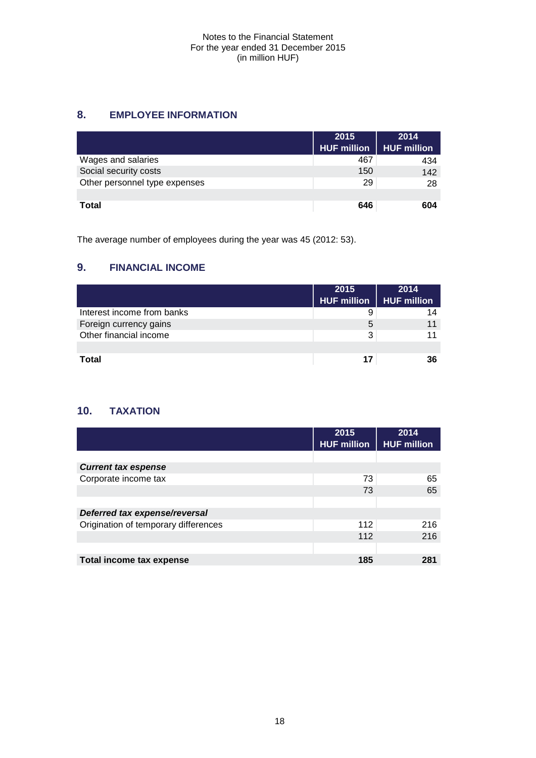## **8. EMPLOYEE INFORMATION**

|                               | 2015<br><b>HUF million</b> | 2014<br><b>HUF million</b> |
|-------------------------------|----------------------------|----------------------------|
| Wages and salaries            | 467                        | 434                        |
| Social security costs         | 150                        | 142                        |
| Other personnel type expenses | 29                         | 28                         |
| <b>Total</b>                  | 646                        | 604                        |

The average number of employees during the year was 45 (2012: 53).

## **9. FINANCIAL INCOME**

|                            | 2015<br><b>HUF million</b> | 2014<br><b>HUF million</b> |
|----------------------------|----------------------------|----------------------------|
| Interest income from banks |                            | 14                         |
| Foreign currency gains     | 5                          |                            |
| Other financial income     | 3                          |                            |
|                            |                            |                            |
| Total                      | 17                         | 36                         |

## **10. TAXATION**

|                                      | 2015<br><b>HUF million</b> | 2014<br><b>HUF million</b> |
|--------------------------------------|----------------------------|----------------------------|
|                                      |                            |                            |
| <b>Current tax espense</b>           |                            |                            |
| Corporate income tax                 | 73                         | 65                         |
|                                      | 73                         | 65                         |
|                                      |                            |                            |
| Deferred tax expense/reversal        |                            |                            |
| Origination of temporary differences | 112                        | 216                        |
|                                      | 112                        | 216                        |
|                                      |                            |                            |
| Total income tax expense             | 185                        | 281                        |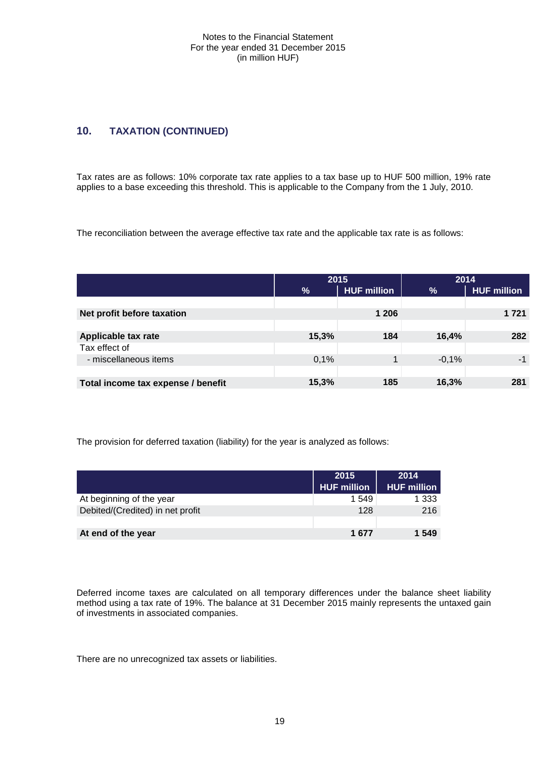#### Notes to the Financial Statement For the year ended 31 December 2015 (in million HUF)

## **10. TAXATION (CONTINUED)**

Tax rates are as follows: 10% corporate tax rate applies to a tax base up to HUF 500 million, 19% rate applies to a base exceeding this threshold. This is applicable to the Company from the 1 July, 2010.

The reconciliation between the average effective tax rate and the applicable tax rate is as follows:

|                                    | 2015  |                    |               | 2014               |
|------------------------------------|-------|--------------------|---------------|--------------------|
|                                    | %     | <b>HUF million</b> | $\frac{1}{2}$ | <b>HUF million</b> |
|                                    |       |                    |               |                    |
| Net profit before taxation         |       | 1 206              |               | 1 7 2 1            |
|                                    |       |                    |               |                    |
| Applicable tax rate                | 15,3% | 184                | 16,4%         | 282                |
| Tax effect of                      |       |                    |               |                    |
| - miscellaneous items              | 0,1%  |                    | $-0.1%$       | $-1$               |
|                                    |       |                    |               |                    |
| Total income tax expense / benefit | 15,3% | 185                | 16,3%         | 281                |

The provision for deferred taxation (liability) for the year is analyzed as follows:

|                                  | 2015               | 2014               |
|----------------------------------|--------------------|--------------------|
|                                  | <b>HUF million</b> | <b>HUF million</b> |
| At beginning of the year         | 1 549              | 1 3 3 3            |
| Debited/(Credited) in net profit | 128                | 216                |
|                                  |                    |                    |
| At end of the year               | 1677               | 1 549              |

Deferred income taxes are calculated on all temporary differences under the balance sheet liability method using a tax rate of 19%. The balance at 31 December 2015 mainly represents the untaxed gain of investments in associated companies.

There are no unrecognized tax assets or liabilities.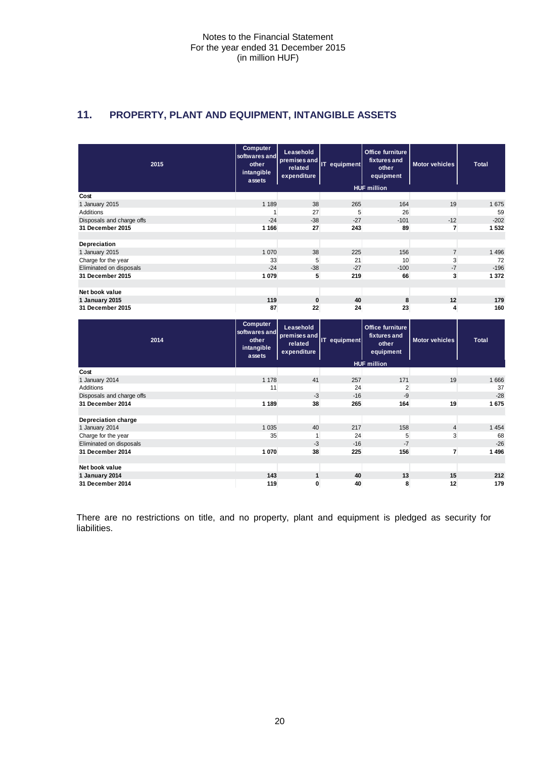## **11. PROPERTY, PLANT AND EQUIPMENT, INTANGIBLE ASSETS**

| 2015                      | <b>Computer</b><br>softwares and<br>other<br>intangible<br>assets | Leasehold<br>premises and<br>related<br>expenditure | IT equipment | Office furniture<br>fixtures and<br>other<br>equipment<br><b>HUF million</b> | <b>Motor vehicles</b> | <b>Total</b> |
|---------------------------|-------------------------------------------------------------------|-----------------------------------------------------|--------------|------------------------------------------------------------------------------|-----------------------|--------------|
| Cost                      |                                                                   |                                                     |              |                                                                              |                       |              |
| 1 January 2015            | 1 1 8 9                                                           | 38                                                  | 265          | 164                                                                          | 19                    | 1 675        |
| Additions                 |                                                                   | 27                                                  | 5            | 26                                                                           |                       | 59           |
| Disposals and charge offs | $-24$                                                             | $-38$                                               | $-27$        | $-101$                                                                       | $-12$                 | $-202$       |
| 31 December 2015          | 1 1 6 6                                                           | 27                                                  | 243          | 89                                                                           | $\overline{7}$        | 1532         |
| Depreciation              |                                                                   |                                                     |              |                                                                              |                       |              |
| 1 January 2015            | 1 0 7 0                                                           | 38                                                  | 225          | 156                                                                          | $\overline{7}$        | 1 4 9 6      |
| Charge for the year       | 33                                                                | 5                                                   | 21           | 10                                                                           | 3                     | 72           |
| Eliminated on disposals   | $-24$                                                             | $-38$                                               | $-27$        | $-100$                                                                       | $-7$                  | $-196$       |
| 31 December 2015          | 1 0 7 9                                                           | 5                                                   | 219          | 66                                                                           | 3                     | 1 372        |
| Net book value            |                                                                   |                                                     |              |                                                                              |                       |              |
| 1 January 2015            | 119                                                               | $\Omega$                                            | 40           | 8                                                                            | 12                    | 179          |
| 31 December 2015          | 87                                                                | 22                                                  | 24           | 23                                                                           | 4                     | 160          |

| 2014                      | Computer<br>softwares and<br>other<br>intangible<br>assets | Leasehold<br>premises and<br>related<br>expenditure | IT equipment | <b>Office furniture</b><br>fixtures and<br>other<br>equipment<br><b>HUF million</b> | <b>Motor vehicles</b> | <b>Total</b> |
|---------------------------|------------------------------------------------------------|-----------------------------------------------------|--------------|-------------------------------------------------------------------------------------|-----------------------|--------------|
| Cost                      |                                                            |                                                     |              |                                                                                     |                       |              |
| 1 January 2014            | 1 1 7 8                                                    | 41                                                  | 257          | 171                                                                                 | 19                    | 1 6 6 6      |
| Additions                 | 11                                                         |                                                     | 24           | $\overline{2}$                                                                      |                       | 37           |
| Disposals and charge offs |                                                            | $-3$                                                | $-16$        | -9                                                                                  |                       | $-28$        |
| 31 December 2014          | 1 1 8 9                                                    | 38                                                  | 265          | 164                                                                                 | 19                    | 1675         |
|                           |                                                            |                                                     |              |                                                                                     |                       |              |
| Depreciation charge       |                                                            |                                                     |              |                                                                                     |                       |              |
| 1 January 2014            | 1 0 3 5                                                    | 40                                                  | 217          | 158                                                                                 | $\overline{4}$        | 1 4 5 4      |
| Charge for the year       | 35                                                         |                                                     | 24           | 5                                                                                   | 3                     | 68           |
| Eliminated on disposals   |                                                            | $-3$                                                | $-16$        | $-7$                                                                                |                       | $-26$        |
| 31 December 2014          | 1 070                                                      | 38                                                  | 225          | 156                                                                                 | $\overline{7}$        | 1496         |
|                           |                                                            |                                                     |              |                                                                                     |                       |              |
| Net book value            |                                                            |                                                     |              |                                                                                     |                       |              |
| 1 January 2014            | 143                                                        |                                                     | 40           | 13                                                                                  | 15                    | 212          |
| 31 December 2014          | 119                                                        | 0                                                   | 40           | 8                                                                                   | 12                    | 179          |

There are no restrictions on title, and no property, plant and equipment is pledged as security for liabilities.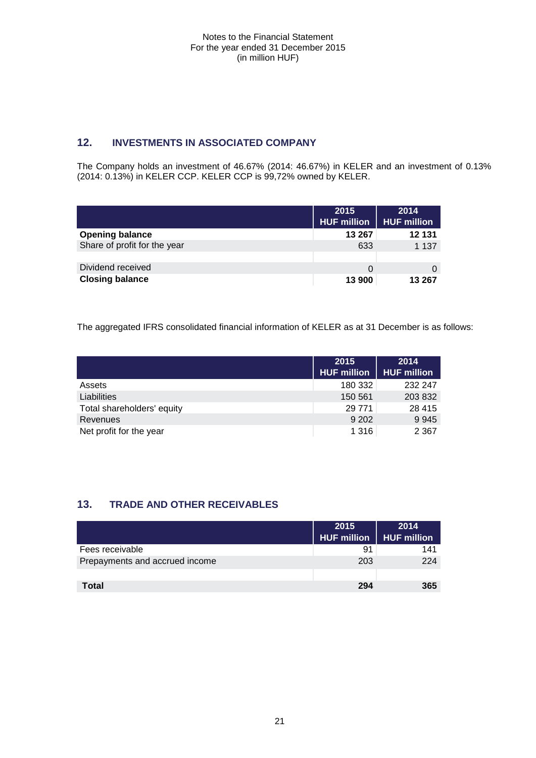## **12. INVESTMENTS IN ASSOCIATED COMPANY**

The Company holds an investment of 46.67% (2014: 46.67%) in KELER and an investment of 0.13% (2014: 0.13%) in KELER CCP. KELER CCP is 99,72% owned by KELER.

|                              | 2015               | 2014               |  |
|------------------------------|--------------------|--------------------|--|
|                              | <b>HUF million</b> | <b>HUF million</b> |  |
| <b>Opening balance</b>       | 13 267             | 12 131             |  |
| Share of profit for the year | 633                | 1 1 3 7            |  |
|                              |                    |                    |  |
| Dividend received            | O                  |                    |  |
| <b>Closing balance</b>       | 13 900             | 13 267             |  |

The aggregated IFRS consolidated financial information of KELER as at 31 December is as follows:

|                            | 2015<br><b>HUF million</b> | 2014<br><b>HUF million</b> |
|----------------------------|----------------------------|----------------------------|
| Assets                     | 180 332                    | 232 247                    |
| Liabilities                | 150 561                    | 203 832                    |
| Total shareholders' equity | 29 7 7 1                   | 28 4 15                    |
| <b>Revenues</b>            | 9 2 0 2                    | 9 9 4 5                    |
| Net profit for the year    | 1 3 1 6                    | 2 3 6 7                    |

## **13. TRADE AND OTHER RECEIVABLES**

|                                | 2015               | 2014               |
|--------------------------------|--------------------|--------------------|
|                                | <b>HUF million</b> | <b>HUF million</b> |
| Fees receivable                | 91                 | 141                |
| Prepayments and accrued income | 203                | 224                |
|                                |                    |                    |
| Total                          | 294                | 365                |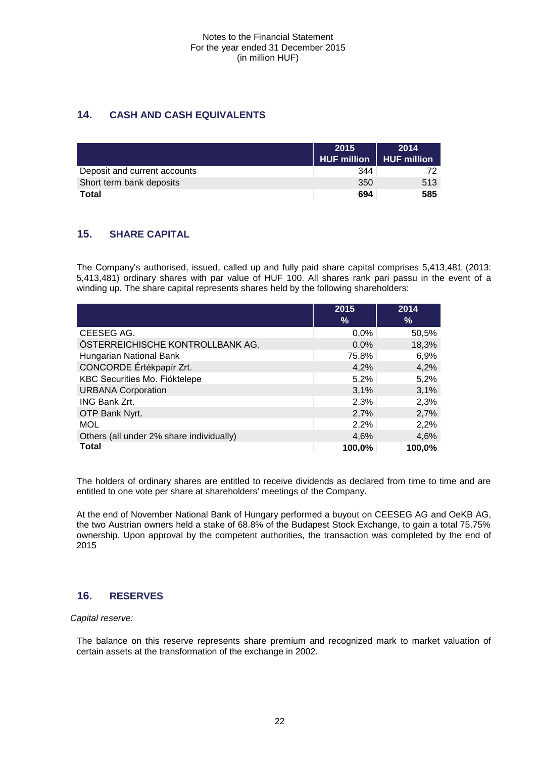## **14. CASH AND CASH EQUIVALENTS**

|                              | 2015                      | 2014 |
|------------------------------|---------------------------|------|
|                              | HUF million   HUF million |      |
| Deposit and current accounts | 344                       |      |
| Short term bank deposits     | 350                       | 513  |
| Total                        | 694                       | 585  |

## **15. SHARE CAPITAL**

The Company's authorised, issued, called up and fully paid share capital comprises 5,413,481 (2013: 5,413,481) ordinary shares with par value of HUF 100. All shares rank pari passu in the event of a winding up. The share capital represents shares held by the following shareholders:

|                                          | 2015   | 2014   |
|------------------------------------------|--------|--------|
|                                          | %      | %      |
| CEESEG AG.                               | 0,0%   | 50,5%  |
| ÖSTERREICHISCHE KONTROLLBANK AG.         | 0,0%   | 18,3%  |
| Hungarian National Bank                  | 75,8%  | 6,9%   |
| CONCORDE Értékpapír Zrt.                 | 4,2%   | 4,2%   |
| KBC Securities Mo. Fióktelepe            | 5,2%   | 5,2%   |
| <b>URBANA Corporation</b>                | 3,1%   | 3,1%   |
| <b>ING Bank Zrt.</b>                     | 2,3%   | 2,3%   |
| OTP Bank Nyrt.                           | 2,7%   | 2,7%   |
| <b>MOL</b>                               | 2,2%   | 2,2%   |
| Others (all under 2% share individually) | 4,6%   | 4,6%   |
| <b>Total</b>                             | 100,0% | 100,0% |

The holders of ordinary shares are entitled to receive dividends as declared from time to time and are entitled to one vote per share at shareholders' meetings of the Company.

At the end of November National Bank of Hungary performed a buyout on CEESEG AG and OeKB AG, the two Austrian owners held a stake of 68.8% of the Budapest Stock Exchange, to gain a total 75.75% ownership. Upon approval by the competent authorities, the transaction was completed by the end of 2015

## **16. RESERVES**

#### *Capital reserve:*

The balance on this reserve represents share premium and recognized mark to market valuation of certain assets at the transformation of the exchange in 2002.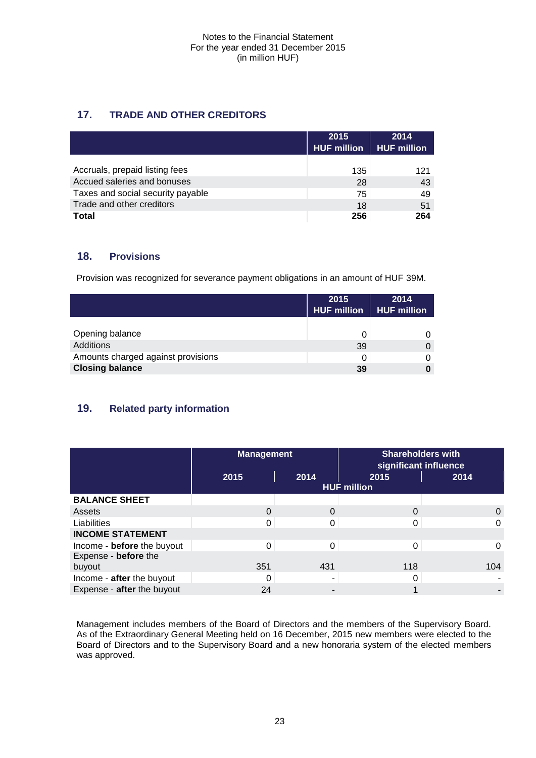## **17. TRADE AND OTHER CREDITORS**

|                                   | 2015<br><b>HUF million</b> | 2014<br><b>HUF million</b> |
|-----------------------------------|----------------------------|----------------------------|
|                                   |                            |                            |
| Accruals, prepaid listing fees    | 135                        | 121                        |
| Accued saleries and bonuses       | 28                         | 43                         |
| Taxes and social security payable | 75                         | 49                         |
| Trade and other creditors         | 18                         | 51                         |
| <b>Total</b>                      | 256                        | 264                        |

## **18. Provisions**

Provision was recognized for severance payment obligations in an amount of HUF 39M.

|                                    | 2015<br>HUF million   HUF million | 2014 |
|------------------------------------|-----------------------------------|------|
| Opening balance                    | 0                                 |      |
| Additions                          | 39                                |      |
| Amounts charged against provisions | 0                                 |      |
| <b>Closing balance</b>             | 39                                |      |

## **19. Related party information**

|                            | <b>Management</b> |          | <b>Shareholders with</b><br>significant influence |      |
|----------------------------|-------------------|----------|---------------------------------------------------|------|
|                            | 2015              | 2014     | 2015<br><b>HUF million</b>                        | 2014 |
| <b>BALANCE SHEET</b>       |                   |          |                                                   |      |
| Assets                     | 0                 | 0        | 0                                                 | 0    |
| Liabilities                | 0                 | 0        | 0                                                 |      |
| <b>INCOME STATEMENT</b>    |                   |          |                                                   |      |
| Income - before the buyout | 0                 | $\Omega$ | ი                                                 |      |
| Expense - before the       |                   |          |                                                   |      |
| buyout                     | 351               | 431      | 118                                               | 104  |
| Income - after the buyout  | 0                 |          |                                                   |      |
| Expense - after the buyout | 24                |          |                                                   |      |

Management includes members of the Board of Directors and the members of the Supervisory Board. As of the Extraordinary General Meeting held on 16 December, 2015 new members were elected to the Board of Directors and to the Supervisory Board and a new honoraria system of the elected members was approved.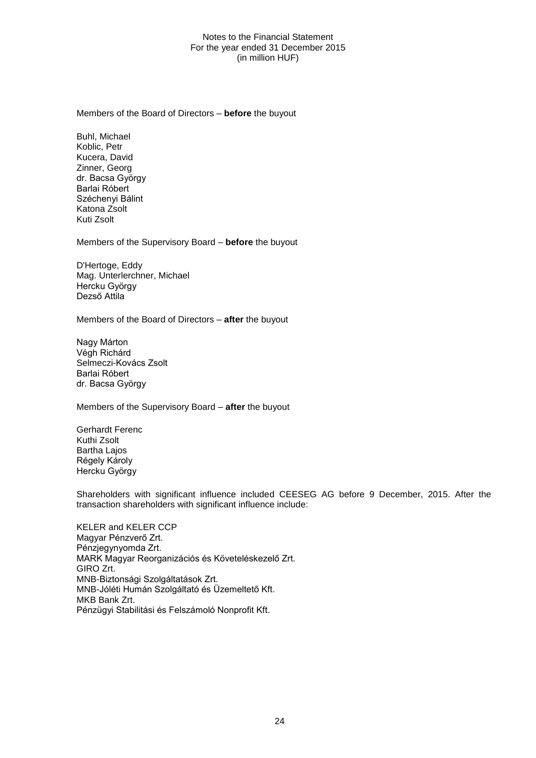#### Notes to the Financial Statement For the year ended 31 December 2015 (in million HUF)

Members of the Board of Directors – **before** the buyout

Buhl, Michael Koblic, Petr Kucera, David Zinner, Georg dr. Bacsa György Barlai Róbert Széchenyi Bálint Katona Zsolt Kuti Zsolt

Members of the Supervisory Board – **before** the buyout

D'Hertoge, Eddy Mag. Unterlerchner, Michael Hercku György Dezső Attila

Members of the Board of Directors – **after** the buyout

Nagy Márton Végh Richárd Selmeczi-Kovács Zsolt Barlai Róbert dr. Bacsa György

Members of the Supervisory Board – **after** the buyout

Gerhardt Ferenc Kuthi Zsolt Bartha Lajos Régely Károly Hercku György

Shareholders with significant influence included CEESEG AG before 9 December, 2015. After the transaction shareholders with significant influence include:

KELER and KELER CCP Magyar Pénzverő Zrt. Pénzjegynyomda Zrt. MARK Magyar Reorganizációs és Követeléskezelő Zrt. GIRO Zrt. MNB-Biztonsági Szolgáltatások Zrt. MNB-Jóléti Humán Szolgáltató és Üzemeltető Kft. MKB Bank Zrt. Pénzügyi Stabilitási és Felszámoló Nonprofit Kft.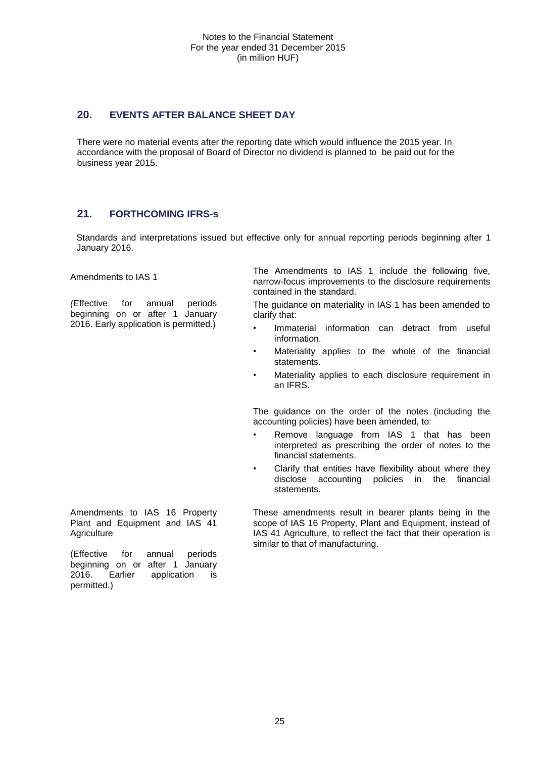## **20. EVENTS AFTER BALANCE SHEET DAY**

There were no material events after the reporting date which would influence the 2015 year. In accordance with the proposal of Board of Director no dividend is planned to be paid out for the business year 2015.

## **21. FORTHCOMING IFRS-s**

Standards and interpretations issued but effective only for annual reporting periods beginning after 1 January 2016.

Amendments to IAS 1

*(*Effective for annual periods beginning on or after 1 January 2016. Early application is permitted.)

The Amendments to IAS 1 include the following five, narrow-focus improvements to the disclosure requirements contained in the standard.

The guidance on materiality in IAS 1 has been amended to clarify that:

- Immaterial information can detract from useful information.
- Materiality applies to the whole of the financial statements.
- Materiality applies to each disclosure requirement in an IFRS.

The guidance on the order of the notes (including the accounting policies) have been amended, to:

- Remove language from IAS 1 that has been interpreted as prescribing the order of notes to the financial statements.
- Clarify that entities have flexibility about where they disclose accounting policies in the financial statements.

These amendments result in bearer plants being in the scope of IAS 16 Property, Plant and Equipment, instead of IAS 41 Agriculture, to reflect the fact that their operation is similar to that of manufacturing.

Amendments to IAS 16 Property Plant and Equipment and IAS 41 **Agriculture** 

(Effective for annual periods beginning on or after 1 January 2016. Earlier application is permitted.)